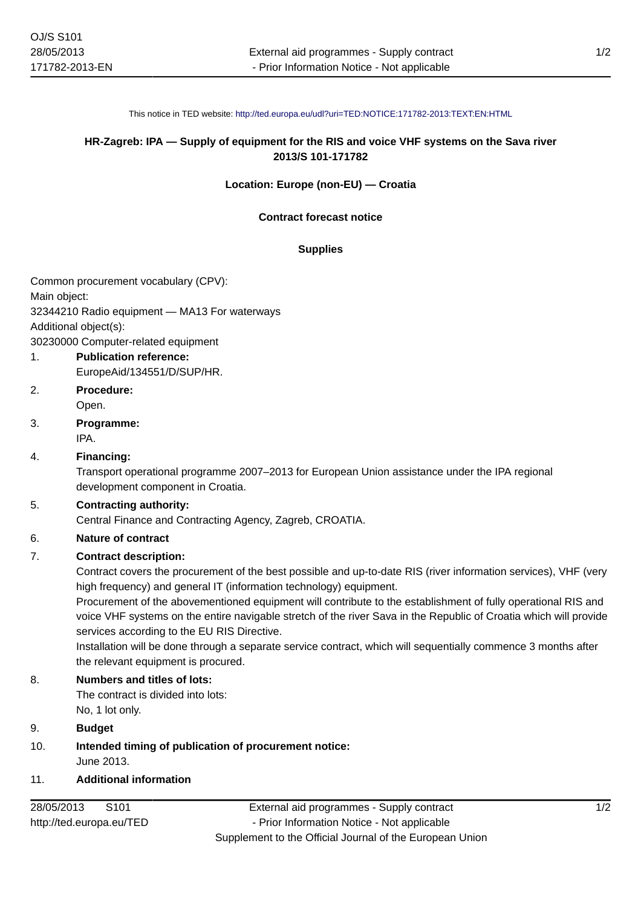This notice in TED website: <http://ted.europa.eu/udl?uri=TED:NOTICE:171782-2013:TEXT:EN:HTML>

# **HR-Zagreb: IPA — Supply of equipment for the RIS and voice VHF systems on the Sava river 2013/S 101-171782**

#### **Location: Europe (non-EU) — Croatia**

#### **Contract forecast notice**

#### **Supplies**

Common procurement vocabulary (CPV): Main object: 32344210 Radio equipment — MA13 For waterways Additional object(s): 30230000 Computer-related equipment

- 1. **Publication reference:** EuropeAid/134551/D/SUP/HR.
- 2. **Procedure:** Open.
- 3. **Programme:** IPA.

# 4. **Financing:**

Transport operational programme 2007–2013 for European Union assistance under the IPA regional development component in Croatia.

## 5. **Contracting authority:**

Central Finance and Contracting Agency, Zagreb, CROATIA.

#### 6. **Nature of contract**

## 7. **Contract description:**

Contract covers the procurement of the best possible and up-to-date RIS (river information services), VHF (very high frequency) and general IT (information technology) equipment.

Procurement of the abovementioned equipment will contribute to the establishment of fully operational RIS and voice VHF systems on the entire navigable stretch of the river Sava in the Republic of Croatia which will provide services according to the EU RIS Directive.

Installation will be done through a separate service contract, which will sequentially commence 3 months after the relevant equipment is procured.

#### 8. **Numbers and titles of lots:**

The contract is divided into lots: No, 1 lot only.

## 9. **Budget**

10. **Intended timing of publication of procurement notice:** June 2013.

# 11. **Additional information**